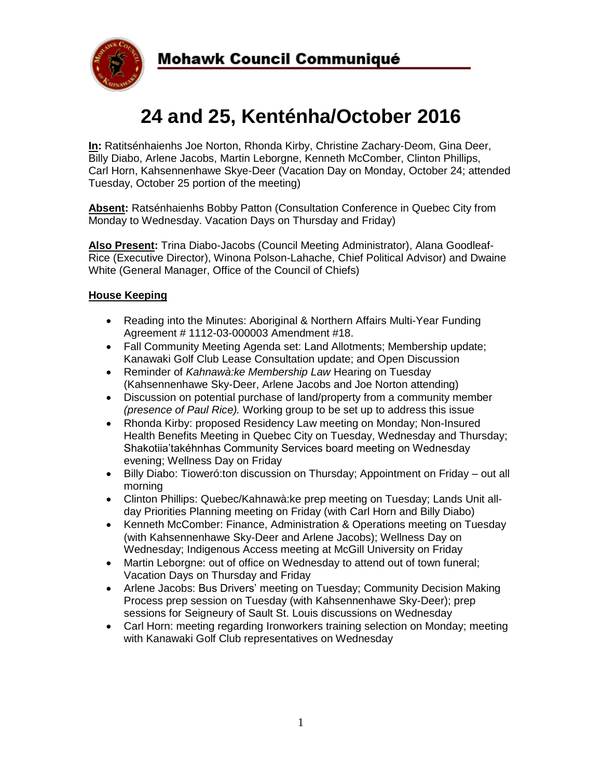

# **24 and 25, Kenténha/October 2016**

**In:** Ratitsénhaienhs Joe Norton, Rhonda Kirby, Christine Zachary-Deom, Gina Deer, Billy Diabo, Arlene Jacobs, Martin Leborgne, Kenneth McComber, Clinton Phillips, Carl Horn, Kahsennenhawe Skye-Deer (Vacation Day on Monday, October 24; attended Tuesday, October 25 portion of the meeting)

**Absent:** Ratsénhaienhs Bobby Patton (Consultation Conference in Quebec City from Monday to Wednesday. Vacation Days on Thursday and Friday)

**Also Present:** Trina Diabo-Jacobs (Council Meeting Administrator), Alana Goodleaf-Rice (Executive Director), Winona Polson-Lahache, Chief Political Advisor) and Dwaine White (General Manager, Office of the Council of Chiefs)

## **House Keeping**

- Reading into the Minutes: Aboriginal & Northern Affairs Multi-Year Funding Agreement # 1112-03-000003 Amendment #18.
- Fall Community Meeting Agenda set: Land Allotments; Membership update; Kanawaki Golf Club Lease Consultation update; and Open Discussion
- Reminder of *Kahnawà:ke Membership Law* Hearing on Tuesday (Kahsennenhawe Sky-Deer, Arlene Jacobs and Joe Norton attending)
- Discussion on potential purchase of land/property from a community member *(presence of Paul Rice).* Working group to be set up to address this issue
- Rhonda Kirby: proposed Residency Law meeting on Monday; Non-Insured Health Benefits Meeting in Quebec City on Tuesday, Wednesday and Thursday; Shakotiia'takéhnhas Community Services board meeting on Wednesday evening; Wellness Day on Friday
- Billy Diabo: Tioweró: ton discussion on Thursday; Appointment on Friday out all morning
- Clinton Phillips: Quebec/Kahnawà:ke prep meeting on Tuesday; Lands Unit allday Priorities Planning meeting on Friday (with Carl Horn and Billy Diabo)
- Kenneth McComber: Finance, Administration & Operations meeting on Tuesday (with Kahsennenhawe Sky-Deer and Arlene Jacobs); Wellness Day on Wednesday; Indigenous Access meeting at McGill University on Friday
- Martin Leborgne: out of office on Wednesday to attend out of town funeral; Vacation Days on Thursday and Friday
- Arlene Jacobs: Bus Drivers' meeting on Tuesday; Community Decision Making Process prep session on Tuesday (with Kahsennenhawe Sky-Deer); prep sessions for Seigneury of Sault St. Louis discussions on Wednesday
- Carl Horn: meeting regarding Ironworkers training selection on Monday; meeting with Kanawaki Golf Club representatives on Wednesday